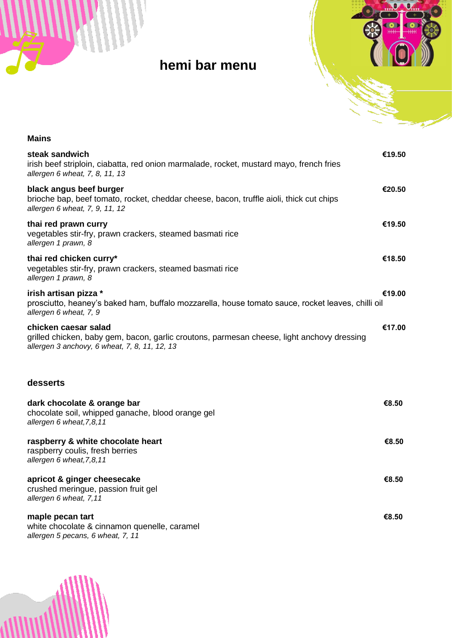



## **hemi bar menu**

| <b>Mains</b>                                                                                                                                                        |        |
|---------------------------------------------------------------------------------------------------------------------------------------------------------------------|--------|
| steak sandwich<br>irish beef striploin, ciabatta, red onion marmalade, rocket, mustard mayo, french fries<br>allergen 6 wheat, 7, 8, 11, 13                         | €19.50 |
| black angus beef burger<br>brioche bap, beef tomato, rocket, cheddar cheese, bacon, truffle aioli, thick cut chips<br>allergen 6 wheat, 7, 9, 11, 12                | €20.50 |
| thai red prawn curry<br>vegetables stir-fry, prawn crackers, steamed basmati rice<br>allergen 1 prawn, 8                                                            | €19.50 |
| thai red chicken curry*<br>vegetables stir-fry, prawn crackers, steamed basmati rice<br>allergen 1 prawn, 8                                                         | €18.50 |
| irish artisan pizza *<br>€19.00<br>prosciutto, heaney's baked ham, buffalo mozzarella, house tomato sauce, rocket leaves, chilli oil<br>allergen 6 wheat, 7, 9      |        |
| chicken caesar salad<br>grilled chicken, baby gem, bacon, garlic croutons, parmesan cheese, light anchovy dressing<br>allergen 3 anchovy, 6 wheat, 7, 8, 11, 12, 13 | €17.00 |
| desserts                                                                                                                                                            |        |
| dark chocolate & orange bar<br>chocolate soil, whipped ganache, blood orange gel<br>allergen 6 wheat, 7,8, 11                                                       | €8.50  |
| raspberry & white chocolate heart<br>raspberry coulis, fresh berries<br>allergen 6 wheat, 7,8, 11                                                                   | €8.50  |
| apricot & ginger cheesecake<br>crushed meringue, passion fruit gel<br>allergen 6 wheat, 7,11                                                                        | €8.50  |
| maple pecan tart<br>white chocolate & cinnamon quenelle, caramel<br>allergen 5 pecans, 6 wheat, 7, 11                                                               | €8.50  |